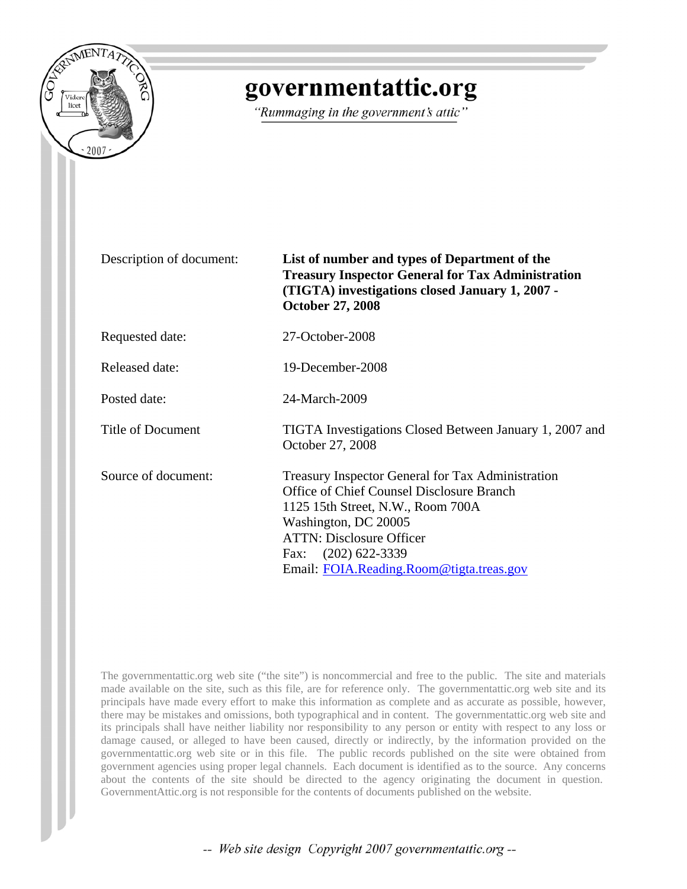

# governmentattic.org

"Rummaging in the government's attic"

Description of document: **List of number and types of Department of the Treasury Inspector General for Tax Administration (TIGTA) investigations closed January 1, 2007 - October 27, 2008**

Requested date: 27-October-2008

Released date: 19-December-2008

Posted date: 24-March-2009

Title of Document TIGTA Investigations Closed Between January 1, 2007 and

Source of document: Treasury Inspector General for Tax Administration Office of Chief Counsel Disclosure Branch 1125 15th Street, N.W., Room 700A Washington, DC 20005 ATTN: Disclosure Officer Fax: (202) 622-3339 Email: [FOIA.Reading.Room@tigta.treas.gov](mailto:FOIA.Reading.Room@tigta.treas.gov)

The governmentattic.org web site ("the site") is noncommercial and free to the public. The site and materials made available on the site, such as this file, are for reference only. The governmentattic.org web site and its principals have made every effort to make this information as complete and as accurate as possible, however, there may be mistakes and omissions, both typographical and in content. The governmentattic.org web site and its principals shall have neither liability nor responsibility to any person or entity with respect to any loss or damage caused, or alleged to have been caused, directly or indirectly, by the information provided on the governmentattic.org web site or in this file. The public records published on the site were obtained from government agencies using proper legal channels. Each document is identified as to the source. Any concerns about the contents of the site should be directed to the agency originating the document in question. GovernmentAttic.org is not responsible for the contents of documents published on the website.

October 27, 2008

-- Web site design Copyright 2007 governmentattic.org --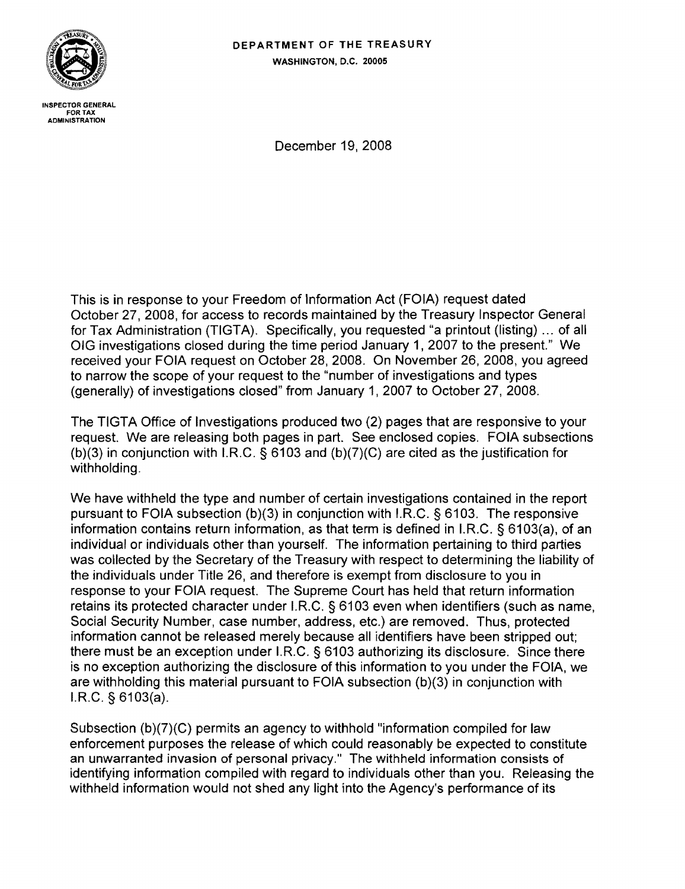### DEPARTMENT OF THE TREASURY WASHINGTON, D.C. 20005



INSPECTOR GENERAL FOR TAX<br>ADMINISTRATION

December 19, 2008

This is in response to your Freedom of Information Act (FOIA) request dated October 27,2008, for access to records maintained by the Treasury Inspector General for Tax Administration (TIGTA). Specifically, you requested "a printout (listing) ... of all OIG investigations closed during the time period January 1, 2007 to the present." We received your FOIA request on October 28, 2008. On November 26, 2008, you agreed to narrow the scope of your request to the "number of investigations and types (generally) of investigations closed" from January 1 , 2007 to October 27, 2008.

The TIGTA Office of Investigations produced two (2) pages that are responsive to your request. We are releasing both pages in part. See enclosed copies. FOIA subsections (b)(3) in conjunction with I.R.C. § 6103 and (b)(7)(C) are cited as the justification for withholding.

We have withheld the type and number of certain investigations contained in the report pursuant to FOIA subsection (b)(3) in conjunction with  $I.R.C.$  § 6103. The responsive information contains return information, as that term is defined in I.R.C. § 6103(a), of an individual or individuals other than yourself. The information pertaining to third parties was collected by the Secretary of the Treasury with respect to determining the liability of the individuals under Title 26, and therefore is exempt from disclosure to you in response to your FOIA request. The Supreme Court has held that return information retains its protected character under I.R.C. § 6103 even when identifiers (such as name, Social Security Number, case number, address, etc.) are removed. Thus, protected information cannot be released merely because all identifiers have been stripped out; there must be an exception under LRC. § 6103 authorizing its disclosure. Since there is no exception authorizing the disclosure of this information to you under the FOIA, we are withholding this material pursuant to FOIA subsection (b)(3) in conjunction with  $LR.C.$  § 6103(a).

Subsection (b)(7){C) permits an agency to withhold "information compiled for law enforcement purposes the release of which could reasonably be expected to constitute an unwarranted invasion of personal privacy." The withheld information consists of identifying information compiled with regard to individuals other than you. Releasing the withheld information would not shed any light into the Agency's performance of its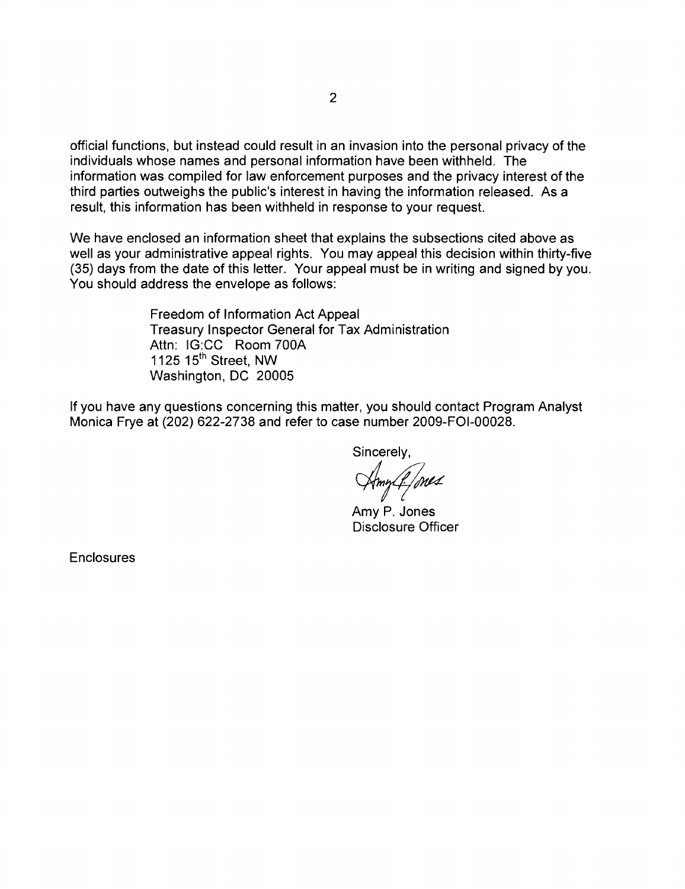official functions, but instead could result in an invasion into the personal privacy of the individuals whose names and personal information have been withheld. The information was compiled for law enforcement purposes and the privacy interest of the third parties outweighs the public's interest in having the information released. As a result, this information has been withheld in response to your request.

We have enclosed an information sheet that explains the subsections cited above as well as your administrative appeal rights. You may appeal this decision within thirty-five (35) days from the date of this letter. Your appeal must be in writing and signed by you. You should address the envelope as follows:

> Freedom of Information Act Appeal Treasury Inspector General for Tax Administration Attn: IG:CC Room 700A 1125 15<sup>th</sup> Street, NW Washington, DC 20005

If you have any questions concerning this matter, you should contact Program Analyst Monica Frye at (202) 622-2738 and refer to case number 2009-FOI-00028.

Sincerely,

*cimrf/,w4* 

Amy P. Jones Disclosure Officer

Enclosures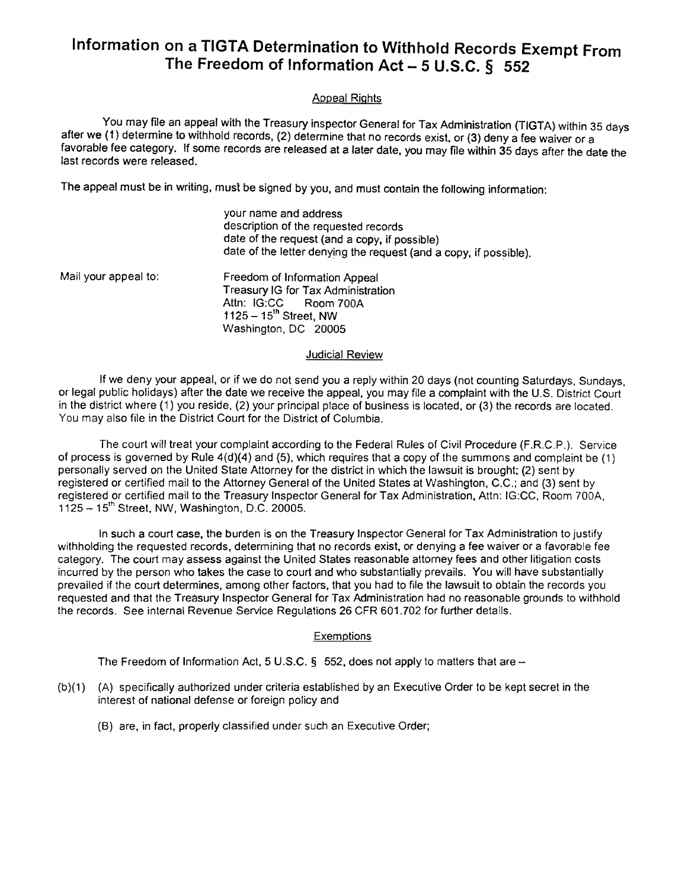# **Information on a TIGTA Determination to Withhold Records Exempt From The Freedom of Information Act - 5 U.S.C. § 552**

### Appeal Rights

You may file an appeal with the Treasury inspector General for Tax Administration (TIGTA) within 35 days after we (1) determine to withhold records, (2) determine that no records exist, or (3) deny a fee waiver or a favorable fee category. If some records are released at a later date, you may file within 35 days after the date the last records were released.

The appeal must be in writing, must be Signed by you, and must contain the following information:

your name and address description of the requested records date of the request (and a copy, if possible) date of the letter denying the request (and a copy, if possible).

Mail your appeal to: Freedom of Information Appeal Treasury IG for Tax Administration<br>Attn: IG:CC Room 700A Room 700A  $1125 - 15$ <sup>th</sup> Street, NW Washington, DC 20005

#### Judicial Review

If we deny your appeal, or if we do not send you a reply within 20 days (not counting Saturdays, Sundays, or legal public holidays) after the date we receive the appeal, you may file a complaint with the U.S. District Court in the district where (1) you reside, (2) your principal place of business is located, or (3) the records are located. You may also file in the District Court for the District of Columbia.

The court will treat your complaint according to the Federal Rules of Civil Procedure (F.R.C.P.). Service of process is governed by Rule  $4(d)(4)$  and (5), which requires that a copy of the summons and complaint be (1) personally served on the United State Attorney for the district in which the lawsuit is brought; (2) sent by registered or certified mail to the Attorney General of the United States at Washington. C.C.; and (3) sent by registered or certified mail to the Treasury Inspector General for Tax Administration, Attn: IG:CC. Room 700A,  $1125 - 15$ <sup>th</sup> Street, NW, Washington, D.C. 20005.

In such a court case, the burden is on the Treasury Inspector General for Tax Administration to justify withholding the requested records, determining that no records exist, or denying a fee waiver or a favorable fee category. The court may assess against the United States reasonable attorney fees and other litigation costs incurred by the person who takes the case to court and who substantially prevails. You will have substantially prevailed if the court determines, among other factors, that you had to file the lawsuit to obtain the records you requested and that the Treasury Inspector General for Tax Administration had no reasonable grounds to withhold the records. See internal Revenue Service Regulations 26 CFR 601.702 for further details.

#### **Exemptions**

The Freedom of Information Act, 5 U.S.C.  $\S$  552, does not apply to matters that are  $-$ 

- (b)(1) (A) specifically authorized under criteria established by an Executive Order to be kept secret in the interest of national defense or foreign policy and
	- (8) are, in fact, properly classified under such an Executive Order;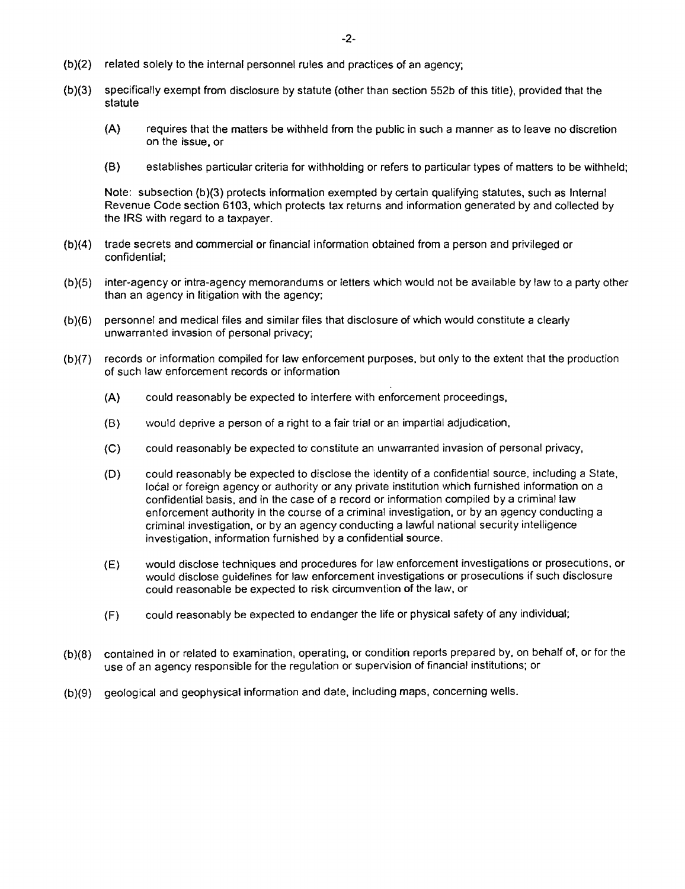- {b )(2) related solely to the internal personnel rules and practices of an agency;
- (b)(3) specifically exempt from disclosure by statute (other than section 552b of this title), provided that the statute
	- (A) requires that the matters be withheld from the public in such a manner as to leave no discretion on the issue, or
	- (B) establishes particular criteria for withholding or refers to particular types of matters to be withheld;

Note: subsection (b)(3) protects information exempted by certain qualifying statutes, such as Internal Revenue Code section 6103, which protects tax returns and information generated by and collected by the IRS with regard to a taxpayer.

- (b){4) trade secrets and commercial or financial information obtained from a person and privileged or confidential;
- (b){5) inter-agency or intra-agency memorandums or letters which would not be available by law to a party other than an agency in litigation with the agency;
- (b)(6) personnel and medical files and similar files that disclosure of which would constitute a clearly unwarranted invasion of personal privacy;
- (b}(7) records or information compiled for law enforcement purposes, but only to the extent that the production of such law enforcement records or information
	- (A) could reasonably be expected to interfere with enforcement proceedings,
	- (9) would deprive a person of a right to a fair trial or an impartial adjudication,
	- (C) could reasonably be expected to' constitute an unwarranted invasion of personal privacy,
	- (D) could reasonably be expected to disclose the identity of a confidential source, including a State, local or foreign agency or authority or any private institution which furnished information on a confidential basis, and in the case of a record or information compiled by a criminal law enforcement authority in the course of a criminal investigation, or by an agency conducting a criminal investigation, or by an agency conducting a lawful national security intelligence investigation, information furnished by a confidential source.
	- (E) would disclose techniques and procedures for law enforcement investigations or prosecutions, or would disclose guidelines for law enforcement investigations or prosecutions if such disclosure could reasonable be expected to risk circumvention of the law, or
	- (F) could reasonably be expected to endanger the life or physical safety of any individual;
- (b}(8) contained in or related to examination, operating, or condition reports prepared by, on behalf of, or for the use of an agency responsible for the regulation or supervision of financial institutions; or
- (b)(9) geological and geophysical information and date, including maps, concerning wells.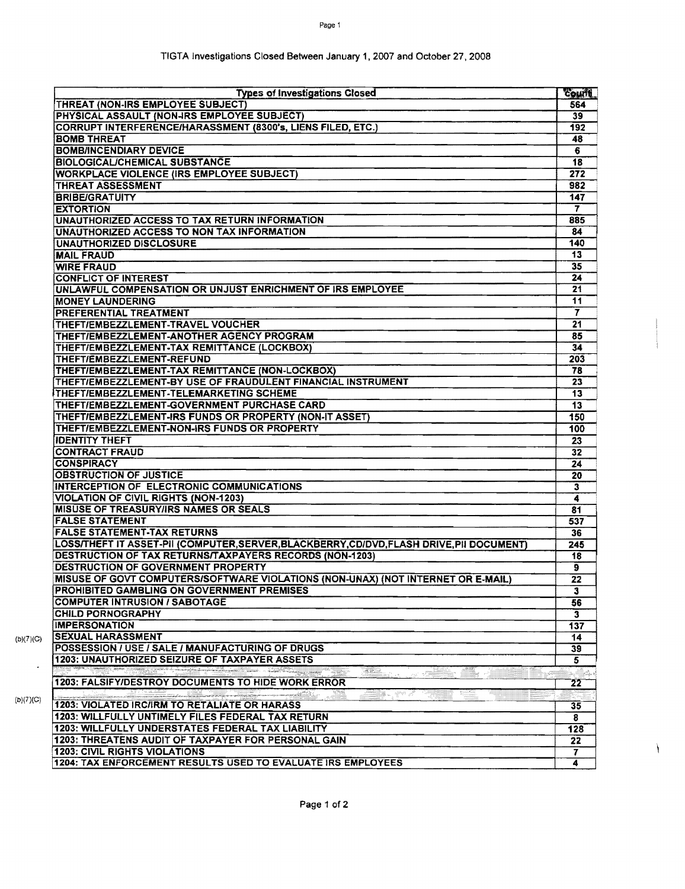| <b>Types of Investigations Closed</b>                                                       | Court            |
|---------------------------------------------------------------------------------------------|------------------|
| THREAT (NON-IRS EMPLOYEE SUBJECT)                                                           | 564              |
| PHYSICAL ASSAULT (NON-IRS EMPLOYEE SUBJECT)                                                 | 39               |
| <b>CORRUPT INTERFERENCE/HARASSMENT (8300's, LIENS FILED, ETC.)</b>                          | 192              |
| <b>BOMB THREAT</b>                                                                          | 48               |
| <b>BOMB/INCENDIARY DEVICE</b>                                                               | 6                |
| <b>BIOLOGICAL/CHEMICAL SUBSTANCE</b>                                                        | 18               |
| <b>WORKPLACE VIOLENCE (IRS EMPLOYEE SUBJECT)</b>                                            | 272              |
| <b>THREAT ASSESSMENT</b>                                                                    | 982              |
| <b>BRIBE/GRATUITY</b>                                                                       | 147              |
| <b>EXTORTION</b>                                                                            | 7                |
| UNAUTHORIZED ACCESS TO TAX RETURN INFORMATION                                               | 885              |
| UNAUTHORIZED ACCESS TO NON TAX INFORMATION                                                  | 84               |
| <b>UNAUTHORIZED DISCLOSURE</b>                                                              | 140              |
| <b>MAIL FRAUD</b>                                                                           | 13               |
| <b>WIRE FRAUD</b>                                                                           | 35               |
| <b>CONFLICT OF INTEREST</b>                                                                 | 24               |
| UNLAWFUL COMPENSATION OR UNJUST ENRICHMENT OF IRS EMPLOYEE                                  | 21               |
| <b>MONEY LAUNDERING</b>                                                                     | 11               |
| PREFERENTIAL TREATMENT                                                                      | 7                |
| THEFT/EMBEZZLEMENT-TRAVEL VOUCHER                                                           | 21               |
| THEFT/EMBEZZLEMENT-ANOTHER AGENCY PROGRAM                                                   | 85               |
| THEFT/EMBEZZLEMENT-TAX REMITTANCE (LOCKBOX)                                                 | 34               |
| THEFT/EMBEZZLEMENT-REFUND                                                                   | 203              |
| THEFT/EMBEZZLEMENT-TAX REMITTANCE (NON-LOCKBOX)                                             | 78               |
| THEFT/EMBEZZLEMENT-BY USE OF FRAUDULENT FINANCIAL INSTRUMENT                                | 23               |
| THEFT/EMBEZZLEMENT-TELEMARKETING SCHEME                                                     | 13               |
| THEFT/EMBEZZLEMENT-GOVERNMENT PURCHASE CARD                                                 | 13               |
| THEFT/EMBEZZLEMENT-IRS FUNDS OR PROPERTY (NON-IT ASSET)                                     | 150              |
| THEFT/EMBEZZLEMENT-NON-IRS FUNDS OR PROPERTY                                                | 100              |
| <b>IDENTITY THEFT</b>                                                                       | 23               |
| <b>CONTRACT FRAUD</b>                                                                       | 32               |
| <b>CONSPIRACY</b>                                                                           | 24               |
| OBSTRUCTION OF JUSTICE                                                                      | 20               |
| INTERCEPTION OF ELECTRONIC COMMUNICATIONS                                                   | 3                |
| <b>VIOLATION OF CIVIL RIGHTS (NON-1203)</b>                                                 | 4                |
| MISUSE OF TREASURY/IRS NAMES OR SEALS                                                       |                  |
| <b>FALSE STATEMENT</b>                                                                      | 81<br>537        |
| <b>FALSE STATEMENT-TAX RETURNS</b>                                                          |                  |
|                                                                                             | 36               |
| LOSS/THEFT IT ASSET-PII (COMPUTER,SERVER,BLACKBERRY,CD/DVD,FLASH DRIVE,PII DOCUMENT)        | 245              |
| DESTRUCTION OF TAX RETURNS/TAXPAYERS RECORDS (NON-1203)                                     | 18               |
| DESTRUCTION OF GOVERNMENT PROPERTY                                                          | 9                |
| MISUSE OF GOVT COMPUTERS/SOFTWARE VIOLATIONS (NON-UNAX) (NOT INTERNET OR E-MAIL)            | 22               |
| PROHIBITED GAMBLING ON GOVERNMENT PREMISES                                                  | 3                |
| <b>COMPUTER INTRUSION / SABOTAGE</b>                                                        | 56               |
| <b>CHILD PORNOGRAPHY</b>                                                                    | $\mathbf{3}$     |
| <b>IMPERSONATION</b>                                                                        | 137              |
| <b>SEXUAL HARASSMENT</b>                                                                    | 14               |
| POSSESSION / USE / SALE / MANUFACTURING OF DRUGS                                            | 39               |
| <b>1203: UNAUTHORIZED SEIZURE OF TAXPAYER ASSETS</b>                                        | 5.               |
| 1000<br>1203: FALSIFY/DESTROY DOCUMENTS TO HIDE WORK ERROR                                  | $22\overline{ }$ |
|                                                                                             |                  |
| 1203: VIOLATED IRC/IRM TO RETALIATE OR HARASS                                               | 35               |
| 1203: WILLFULLY UNTIMELY FILES FEDERAL TAX RETURN                                           | 8                |
| 1203: WILLFULLY UNDERSTATES FEDERAL TAX LIABILITY                                           | 128              |
|                                                                                             | 22               |
| 1203: THREATENS AUDIT OF TAXPAYER FOR PERSONAL GAIN<br><b>1203: CIVIL RIGHTS VIOLATIONS</b> | 7                |

 $\lambda$